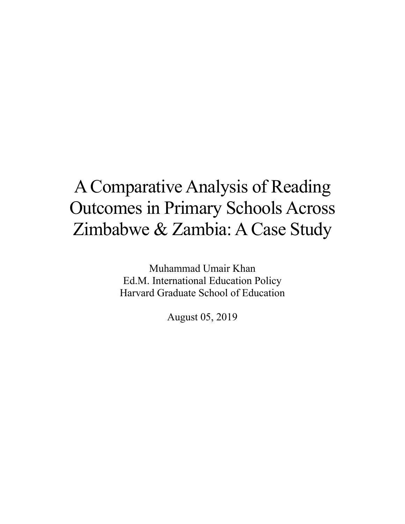Muhammad Umair Khan Ed.M. International Education Policy Harvard Graduate School of Education

August 05, 2019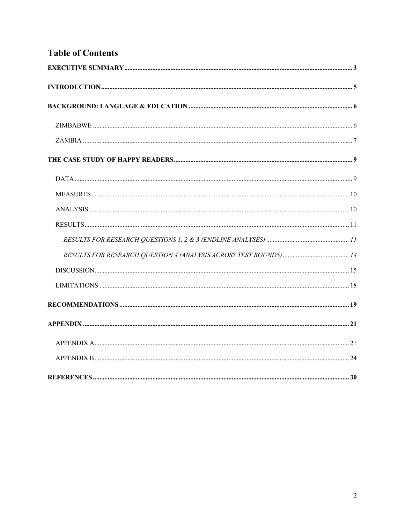# **Table of Contents**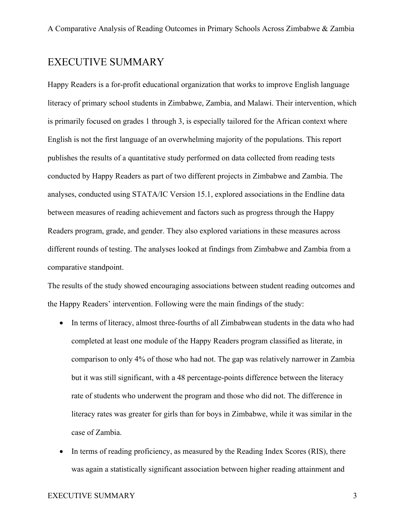## EXECUTIVE SUMMARY

Happy Readers is a for-profit educational organization that works to improve English language literacy of primary school students in Zimbabwe, Zambia, and Malawi. Their intervention, which is primarily focused on grades 1 through 3, is especially tailored for the African context where English is not the first language of an overwhelming majority of the populations. This report publishes the results of a quantitative study performed on data collected from reading tests conducted by Happy Readers as part of two different projects in Zimbabwe and Zambia. The analyses, conducted using STATA/IC Version 15.1, explored associations in the Endline data between measures of reading achievement and factors such as progress through the Happy Readers program, grade, and gender. They also explored variations in these measures across different rounds of testing. The analyses looked at findings from Zimbabwe and Zambia from a comparative standpoint.

The results of the study showed encouraging associations between student reading outcomes and the Happy Readers' intervention. Following were the main findings of the study:

- In terms of literacy, almost three-fourths of all Zimbabwean students in the data who had completed at least one module of the Happy Readers program classified as literate, in comparison to only 4% of those who had not. The gap was relatively narrower in Zambia but it was still significant, with a 48 percentage-points difference between the literacy rate of students who underwent the program and those who did not. The difference in literacy rates was greater for girls than for boys in Zimbabwe, while it was similar in the case of Zambia.
- In terms of reading proficiency, as measured by the Reading Index Scores (RIS), there was again a statistically significant association between higher reading attainment and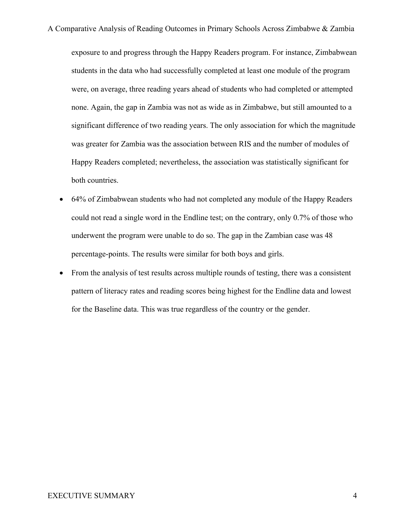exposure to and progress through the Happy Readers program. For instance, Zimbabwean students in the data who had successfully completed at least one module of the program were, on average, three reading years ahead of students who had completed or attempted none. Again, the gap in Zambia was not as wide as in Zimbabwe, but still amounted to a significant difference of two reading years. The only association for which the magnitude was greater for Zambia was the association between RIS and the number of modules of Happy Readers completed; nevertheless, the association was statistically significant for both countries.

- 64% of Zimbabwean students who had not completed any module of the Happy Readers could not read a single word in the Endline test; on the contrary, only 0.7% of those who underwent the program were unable to do so. The gap in the Zambian case was 48 percentage-points. The results were similar for both boys and girls.
- From the analysis of test results across multiple rounds of testing, there was a consistent pattern of literacy rates and reading scores being highest for the Endline data and lowest for the Baseline data. This was true regardless of the country or the gender.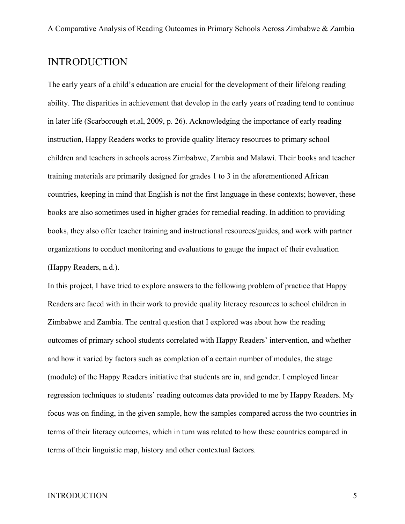## INTRODUCTION

The early years of a child's education are crucial for the development of their lifelong reading ability. The disparities in achievement that develop in the early years of reading tend to continue in later life (Scarborough et.al, 2009, p. 26). Acknowledging the importance of early reading instruction, Happy Readers works to provide quality literacy resources to primary school children and teachers in schools across Zimbabwe, Zambia and Malawi. Their books and teacher training materials are primarily designed for grades 1 to 3 in the aforementioned African countries, keeping in mind that English is not the first language in these contexts; however, these books are also sometimes used in higher grades for remedial reading. In addition to providing books, they also offer teacher training and instructional resources/guides, and work with partner organizations to conduct monitoring and evaluations to gauge the impact of their evaluation (Happy Readers, n.d.).

In this project, I have tried to explore answers to the following problem of practice that Happy Readers are faced with in their work to provide quality literacy resources to school children in Zimbabwe and Zambia. The central question that I explored was about how the reading outcomes of primary school students correlated with Happy Readers' intervention, and whether and how it varied by factors such as completion of a certain number of modules, the stage (module) of the Happy Readers initiative that students are in, and gender. I employed linear regression techniques to students' reading outcomes data provided to me by Happy Readers. My focus was on finding, in the given sample, how the samples compared across the two countries in terms of their literacy outcomes, which in turn was related to how these countries compared in terms of their linguistic map, history and other contextual factors.

#### INTRODUCTION 5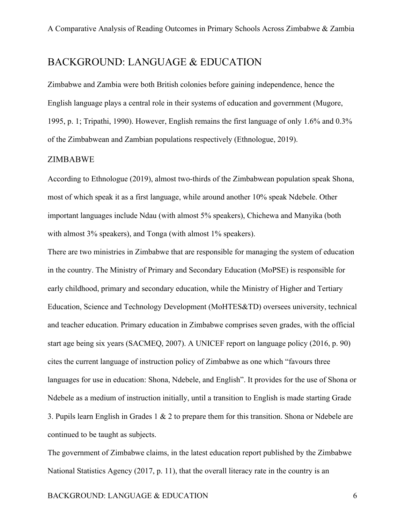## BACKGROUND: LANGUAGE & EDUCATION

Zimbabwe and Zambia were both British colonies before gaining independence, hence the English language plays a central role in their systems of education and government (Mugore, 1995, p. 1; Tripathi, 1990). However, English remains the first language of only 1.6% and 0.3% of the Zimbabwean and Zambian populations respectively (Ethnologue, 2019).

#### ZIMBABWE

According to Ethnologue (2019), almost two-thirds of the Zimbabwean population speak Shona, most of which speak it as a first language, while around another 10% speak Ndebele. Other important languages include Ndau (with almost 5% speakers), Chichewa and Manyika (both with almost 3% speakers), and Tonga (with almost 1% speakers).

There are two ministries in Zimbabwe that are responsible for managing the system of education in the country. The Ministry of Primary and Secondary Education (MoPSE) is responsible for early childhood, primary and secondary education, while the Ministry of Higher and Tertiary Education, Science and Technology Development (MoHTES&TD) oversees university, technical and teacher education. Primary education in Zimbabwe comprises seven grades, with the official start age being six years (SACMEQ, 2007). A UNICEF report on language policy (2016, p. 90) cites the current language of instruction policy of Zimbabwe as one which "favours three languages for use in education: Shona, Ndebele, and English". It provides for the use of Shona or Ndebele as a medium of instruction initially, until a transition to English is made starting Grade 3. Pupils learn English in Grades 1 & 2 to prepare them for this transition. Shona or Ndebele are continued to be taught as subjects.

The government of Zimbabwe claims, in the latest education report published by the Zimbabwe National Statistics Agency (2017, p. 11), that the overall literacy rate in the country is an

#### BACKGROUND: LANGUAGE & EDUCATION 6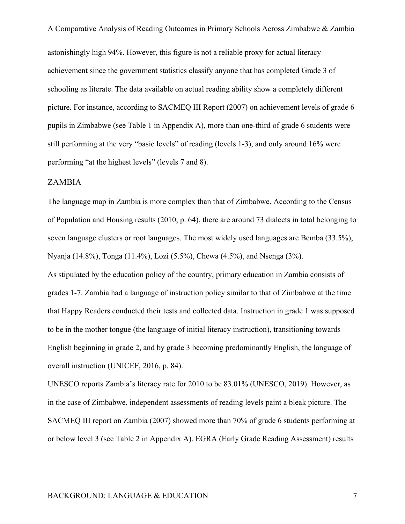A Comparative Analysis of Reading Outcomes in Primary Schools Across Zimbabwe & Zambia astonishingly high 94%. However, this figure is not a reliable proxy for actual literacy achievement since the government statistics classify anyone that has completed Grade 3 of schooling as literate. The data available on actual reading ability show a completely different picture. For instance, according to SACMEQ III Report (2007) on achievement levels of grade 6 pupils in Zimbabwe (see Table 1 in Appendix A), more than one-third of grade 6 students were still performing at the very "basic levels" of reading (levels 1-3), and only around 16% were performing "at the highest levels" (levels 7 and 8).

#### ZAMBIA

The language map in Zambia is more complex than that of Zimbabwe. According to the Census of Population and Housing results (2010, p. 64), there are around 73 dialects in total belonging to seven language clusters or root languages. The most widely used languages are Bemba (33.5%), Nyanja (14.8%), Tonga (11.4%), Lozi (5.5%), Chewa (4.5%), and Nsenga (3%).

As stipulated by the education policy of the country, primary education in Zambia consists of grades 1-7. Zambia had a language of instruction policy similar to that of Zimbabwe at the time that Happy Readers conducted their tests and collected data. Instruction in grade 1 was supposed to be in the mother tongue (the language of initial literacy instruction), transitioning towards English beginning in grade 2, and by grade 3 becoming predominantly English, the language of overall instruction (UNICEF, 2016, p. 84).

UNESCO reports Zambia's literacy rate for 2010 to be 83.01% (UNESCO, 2019). However, as in the case of Zimbabwe, independent assessments of reading levels paint a bleak picture. The SACMEQ III report on Zambia (2007) showed more than 70% of grade 6 students performing at or below level 3 (see Table 2 in Appendix A). EGRA (Early Grade Reading Assessment) results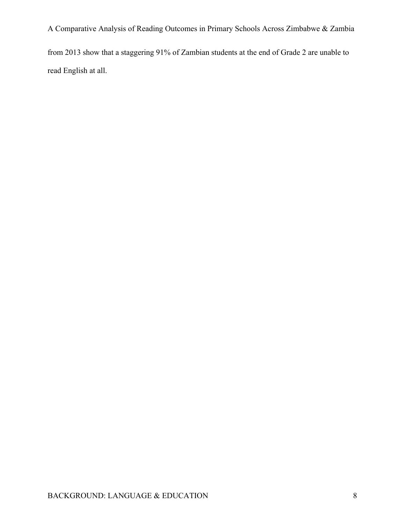from 2013 show that a staggering 91% of Zambian students at the end of Grade 2 are unable to read English at all.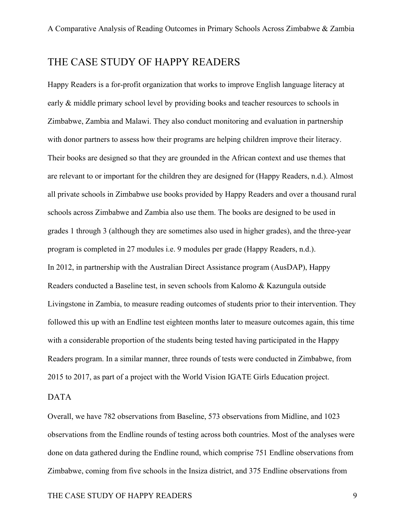## THE CASE STUDY OF HAPPY READERS

Happy Readers is a for-profit organization that works to improve English language literacy at early & middle primary school level by providing books and teacher resources to schools in Zimbabwe, Zambia and Malawi. They also conduct monitoring and evaluation in partnership with donor partners to assess how their programs are helping children improve their literacy. Their books are designed so that they are grounded in the African context and use themes that are relevant to or important for the children they are designed for (Happy Readers, n.d.). Almost all private schools in Zimbabwe use books provided by Happy Readers and over a thousand rural schools across Zimbabwe and Zambia also use them. The books are designed to be used in grades 1 through 3 (although they are sometimes also used in higher grades), and the three-year program is completed in 27 modules i.e. 9 modules per grade (Happy Readers, n.d.). In 2012, in partnership with the Australian Direct Assistance program (AusDAP), Happy Readers conducted a Baseline test, in seven schools from Kalomo & Kazungula outside Livingstone in Zambia, to measure reading outcomes of students prior to their intervention. They followed this up with an Endline test eighteen months later to measure outcomes again, this time with a considerable proportion of the students being tested having participated in the Happy Readers program. In a similar manner, three rounds of tests were conducted in Zimbabwe, from 2015 to 2017, as part of a project with the World Vision IGATE Girls Education project.

#### DATA

Overall, we have 782 observations from Baseline, 573 observations from Midline, and 1023 observations from the Endline rounds of testing across both countries. Most of the analyses were done on data gathered during the Endline round, which comprise 751 Endline observations from Zimbabwe, coming from five schools in the Insiza district, and 375 Endline observations from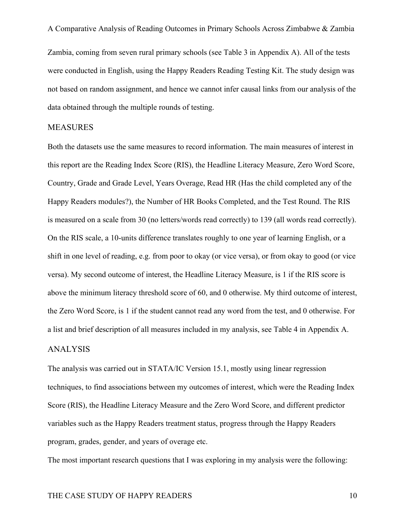Zambia, coming from seven rural primary schools (see Table 3 in Appendix A). All of the tests were conducted in English, using the Happy Readers Reading Testing Kit. The study design was not based on random assignment, and hence we cannot infer causal links from our analysis of the data obtained through the multiple rounds of testing.

#### MEASURES

Both the datasets use the same measures to record information. The main measures of interest in this report are the Reading Index Score (RIS), the Headline Literacy Measure, Zero Word Score, Country, Grade and Grade Level, Years Overage, Read HR (Has the child completed any of the Happy Readers modules?), the Number of HR Books Completed, and the Test Round. The RIS is measured on a scale from 30 (no letters/words read correctly) to 139 (all words read correctly). On the RIS scale, a 10-units difference translates roughly to one year of learning English, or a shift in one level of reading, e.g. from poor to okay (or vice versa), or from okay to good (or vice versa). My second outcome of interest, the Headline Literacy Measure, is 1 if the RIS score is above the minimum literacy threshold score of 60, and 0 otherwise. My third outcome of interest, the Zero Word Score, is 1 if the student cannot read any word from the test, and 0 otherwise. For a list and brief description of all measures included in my analysis, see Table 4 in Appendix A.

#### ANALYSIS

The analysis was carried out in STATA/IC Version 15.1, mostly using linear regression techniques, to find associations between my outcomes of interest, which were the Reading Index Score (RIS), the Headline Literacy Measure and the Zero Word Score, and different predictor variables such as the Happy Readers treatment status, progress through the Happy Readers program, grades, gender, and years of overage etc.

The most important research questions that I was exploring in my analysis were the following: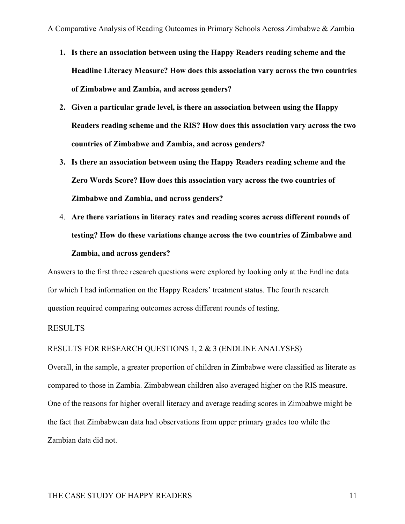- **1. Is there an association between using the Happy Readers reading scheme and the Headline Literacy Measure? How does this association vary across the two countries of Zimbabwe and Zambia, and across genders?**
- **2. Given a particular grade level, is there an association between using the Happy Readers reading scheme and the RIS? How does this association vary across the two countries of Zimbabwe and Zambia, and across genders?**
- **3. Is there an association between using the Happy Readers reading scheme and the Zero Words Score? How does this association vary across the two countries of Zimbabwe and Zambia, and across genders?**
- 4. **Are there variations in literacy rates and reading scores across different rounds of testing? How do these variations change across the two countries of Zimbabwe and Zambia, and across genders?**

Answers to the first three research questions were explored by looking only at the Endline data for which I had information on the Happy Readers' treatment status. The fourth research question required comparing outcomes across different rounds of testing.

#### RESULTS

#### RESULTS FOR RESEARCH QUESTIONS 1, 2 & 3 (ENDLINE ANALYSES)

Overall, in the sample, a greater proportion of children in Zimbabwe were classified as literate as compared to those in Zambia. Zimbabwean children also averaged higher on the RIS measure. One of the reasons for higher overall literacy and average reading scores in Zimbabwe might be the fact that Zimbabwean data had observations from upper primary grades too while the Zambian data did not.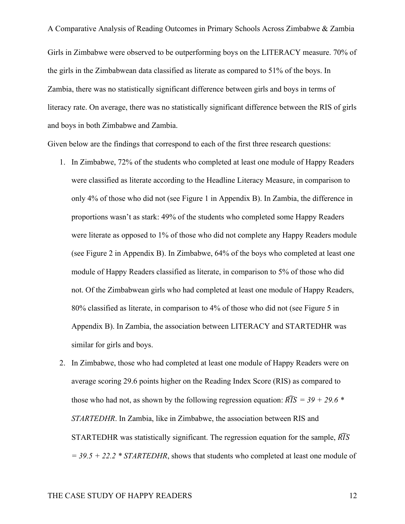Girls in Zimbabwe were observed to be outperforming boys on the LITERACY measure. 70% of the girls in the Zimbabwean data classified as literate as compared to 51% of the boys. In Zambia, there was no statistically significant difference between girls and boys in terms of literacy rate. On average, there was no statistically significant difference between the RIS of girls and boys in both Zimbabwe and Zambia.

Given below are the findings that correspond to each of the first three research questions:

- 1. In Zimbabwe, 72% of the students who completed at least one module of Happy Readers were classified as literate according to the Headline Literacy Measure, in comparison to only 4% of those who did not (see Figure 1 in Appendix B). In Zambia, the difference in proportions wasn't as stark: 49% of the students who completed some Happy Readers were literate as opposed to 1% of those who did not complete any Happy Readers module (see Figure 2 in Appendix B). In Zimbabwe, 64% of the boys who completed at least one module of Happy Readers classified as literate, in comparison to 5% of those who did not. Of the Zimbabwean girls who had completed at least one module of Happy Readers, 80% classified as literate, in comparison to 4% of those who did not (see Figure 5 in Appendix B). In Zambia, the association between LITERACY and STARTEDHR was similar for girls and boys.
- 2. In Zimbabwe, those who had completed at least one module of Happy Readers were on average scoring 29.6 points higher on the Reading Index Score (RIS) as compared to those who had not, as shown by the following regression equation:  $\widehat{RIS} = 39 + 29.6$  \* *STARTEDHR*. In Zambia, like in Zimbabwe, the association between RIS and STARTEDHR was statistically significant. The regression equation for the sample,  $\widehat{RIS}$ *= 39.5 + 22.2 \* STARTEDHR*, shows that students who completed at least one module of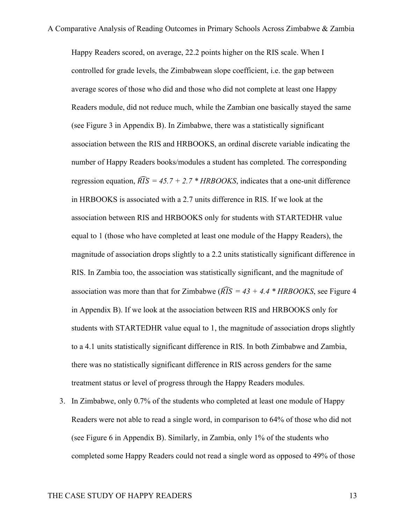Happy Readers scored, on average, 22.2 points higher on the RIS scale. When I controlled for grade levels, the Zimbabwean slope coefficient, i.e. the gap between average scores of those who did and those who did not complete at least one Happy Readers module, did not reduce much, while the Zambian one basically stayed the same (see Figure 3 in Appendix B). In Zimbabwe, there was a statistically significant association between the RIS and HRBOOKS, an ordinal discrete variable indicating the number of Happy Readers books/modules a student has completed. The corresponding regression equation,  $\widehat{RIS} = 45.7 + 2.7 * HRBOOKS$ , indicates that a one-unit difference in HRBOOKS is associated with a 2.7 units difference in RIS. If we look at the association between RIS and HRBOOKS only for students with STARTEDHR value equal to 1 (those who have completed at least one module of the Happy Readers), the magnitude of association drops slightly to a 2.2 units statistically significant difference in RIS. In Zambia too, the association was statistically significant, and the magnitude of association was more than that for Zimbabwe ( $\widehat{RIS} = 43 + 4.4 * HRBOOKS$ , see Figure 4 in Appendix B). If we look at the association between RIS and HRBOOKS only for students with STARTEDHR value equal to 1, the magnitude of association drops slightly to a 4.1 units statistically significant difference in RIS. In both Zimbabwe and Zambia, there was no statistically significant difference in RIS across genders for the same treatment status or level of progress through the Happy Readers modules.

3. In Zimbabwe, only 0.7% of the students who completed at least one module of Happy Readers were not able to read a single word, in comparison to 64% of those who did not (see Figure 6 in Appendix B). Similarly, in Zambia, only 1% of the students who completed some Happy Readers could not read a single word as opposed to 49% of those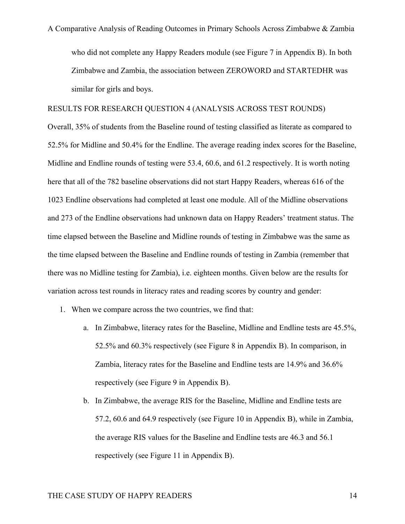who did not complete any Happy Readers module (see Figure 7 in Appendix B). In both Zimbabwe and Zambia, the association between ZEROWORD and STARTEDHR was similar for girls and boys.

#### RESULTS FOR RESEARCH QUESTION 4 (ANALYSIS ACROSS TEST ROUNDS)

Overall, 35% of students from the Baseline round of testing classified as literate as compared to 52.5% for Midline and 50.4% for the Endline. The average reading index scores for the Baseline, Midline and Endline rounds of testing were 53.4, 60.6, and 61.2 respectively. It is worth noting here that all of the 782 baseline observations did not start Happy Readers, whereas 616 of the 1023 Endline observations had completed at least one module. All of the Midline observations and 273 of the Endline observations had unknown data on Happy Readers' treatment status. The time elapsed between the Baseline and Midline rounds of testing in Zimbabwe was the same as the time elapsed between the Baseline and Endline rounds of testing in Zambia (remember that there was no Midline testing for Zambia), i.e. eighteen months. Given below are the results for variation across test rounds in literacy rates and reading scores by country and gender:

- 1. When we compare across the two countries, we find that:
	- a. In Zimbabwe, literacy rates for the Baseline, Midline and Endline tests are 45.5%, 52.5% and 60.3% respectively (see Figure 8 in Appendix B). In comparison, in Zambia, literacy rates for the Baseline and Endline tests are 14.9% and 36.6% respectively (see Figure 9 in Appendix B).
	- b. In Zimbabwe, the average RIS for the Baseline, Midline and Endline tests are 57.2, 60.6 and 64.9 respectively (see Figure 10 in Appendix B), while in Zambia, the average RIS values for the Baseline and Endline tests are 46.3 and 56.1 respectively (see Figure 11 in Appendix B).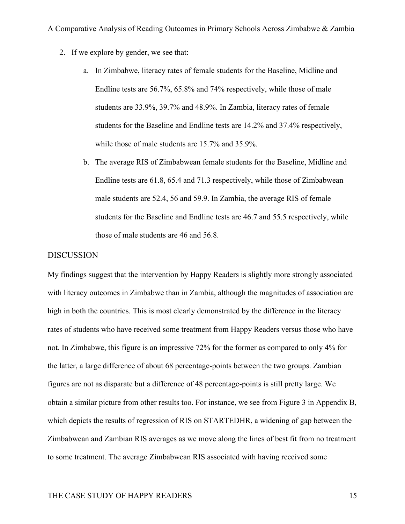- 2. If we explore by gender, we see that:
	- a. In Zimbabwe, literacy rates of female students for the Baseline, Midline and Endline tests are 56.7%, 65.8% and 74% respectively, while those of male students are 33.9%, 39.7% and 48.9%. In Zambia, literacy rates of female students for the Baseline and Endline tests are 14.2% and 37.4% respectively, while those of male students are 15.7% and 35.9%.
	- b. The average RIS of Zimbabwean female students for the Baseline, Midline and Endline tests are 61.8, 65.4 and 71.3 respectively, while those of Zimbabwean male students are 52.4, 56 and 59.9. In Zambia, the average RIS of female students for the Baseline and Endline tests are 46.7 and 55.5 respectively, while those of male students are 46 and 56.8.

#### DISCUSSION

My findings suggest that the intervention by Happy Readers is slightly more strongly associated with literacy outcomes in Zimbabwe than in Zambia, although the magnitudes of association are high in both the countries. This is most clearly demonstrated by the difference in the literacy rates of students who have received some treatment from Happy Readers versus those who have not. In Zimbabwe, this figure is an impressive 72% for the former as compared to only 4% for the latter, a large difference of about 68 percentage-points between the two groups. Zambian figures are not as disparate but a difference of 48 percentage-points is still pretty large. We obtain a similar picture from other results too. For instance, we see from Figure 3 in Appendix B, which depicts the results of regression of RIS on STARTEDHR, a widening of gap between the Zimbabwean and Zambian RIS averages as we move along the lines of best fit from no treatment to some treatment. The average Zimbabwean RIS associated with having received some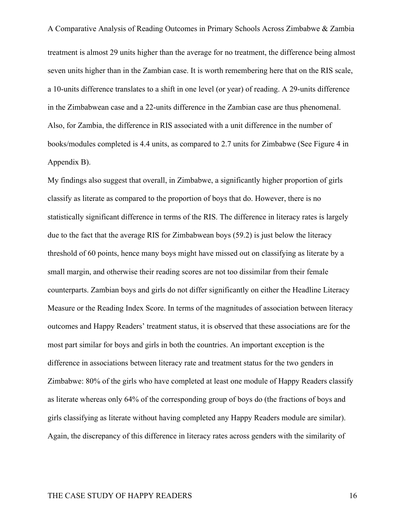A Comparative Analysis of Reading Outcomes in Primary Schools Across Zimbabwe & Zambia treatment is almost 29 units higher than the average for no treatment, the difference being almost seven units higher than in the Zambian case. It is worth remembering here that on the RIS scale, a 10-units difference translates to a shift in one level (or year) of reading. A 29-units difference in the Zimbabwean case and a 22-units difference in the Zambian case are thus phenomenal. Also, for Zambia, the difference in RIS associated with a unit difference in the number of books/modules completed is 4.4 units, as compared to 2.7 units for Zimbabwe (See Figure 4 in Appendix B).

My findings also suggest that overall, in Zimbabwe, a significantly higher proportion of girls classify as literate as compared to the proportion of boys that do. However, there is no statistically significant difference in terms of the RIS. The difference in literacy rates is largely due to the fact that the average RIS for Zimbabwean boys (59.2) is just below the literacy threshold of 60 points, hence many boys might have missed out on classifying as literate by a small margin, and otherwise their reading scores are not too dissimilar from their female counterparts. Zambian boys and girls do not differ significantly on either the Headline Literacy Measure or the Reading Index Score. In terms of the magnitudes of association between literacy outcomes and Happy Readers' treatment status, it is observed that these associations are for the most part similar for boys and girls in both the countries. An important exception is the difference in associations between literacy rate and treatment status for the two genders in Zimbabwe: 80% of the girls who have completed at least one module of Happy Readers classify as literate whereas only 64% of the corresponding group of boys do (the fractions of boys and girls classifying as literate without having completed any Happy Readers module are similar). Again, the discrepancy of this difference in literacy rates across genders with the similarity of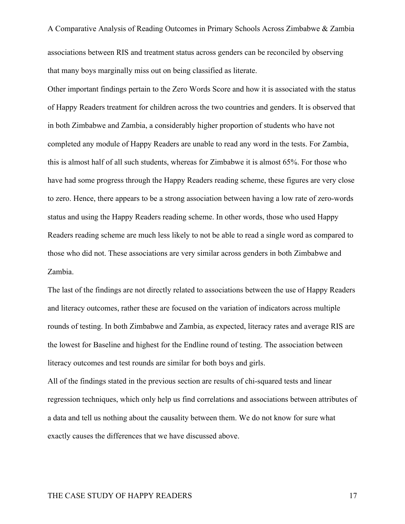A Comparative Analysis of Reading Outcomes in Primary Schools Across Zimbabwe & Zambia associations between RIS and treatment status across genders can be reconciled by observing that many boys marginally miss out on being classified as literate.

Other important findings pertain to the Zero Words Score and how it is associated with the status of Happy Readers treatment for children across the two countries and genders. It is observed that in both Zimbabwe and Zambia, a considerably higher proportion of students who have not completed any module of Happy Readers are unable to read any word in the tests. For Zambia, this is almost half of all such students, whereas for Zimbabwe it is almost 65%. For those who have had some progress through the Happy Readers reading scheme, these figures are very close to zero. Hence, there appears to be a strong association between having a low rate of zero-words status and using the Happy Readers reading scheme. In other words, those who used Happy Readers reading scheme are much less likely to not be able to read a single word as compared to those who did not. These associations are very similar across genders in both Zimbabwe and Zambia.

The last of the findings are not directly related to associations between the use of Happy Readers and literacy outcomes, rather these are focused on the variation of indicators across multiple rounds of testing. In both Zimbabwe and Zambia, as expected, literacy rates and average RIS are the lowest for Baseline and highest for the Endline round of testing. The association between literacy outcomes and test rounds are similar for both boys and girls.

All of the findings stated in the previous section are results of chi-squared tests and linear regression techniques, which only help us find correlations and associations between attributes of a data and tell us nothing about the causality between them. We do not know for sure what exactly causes the differences that we have discussed above.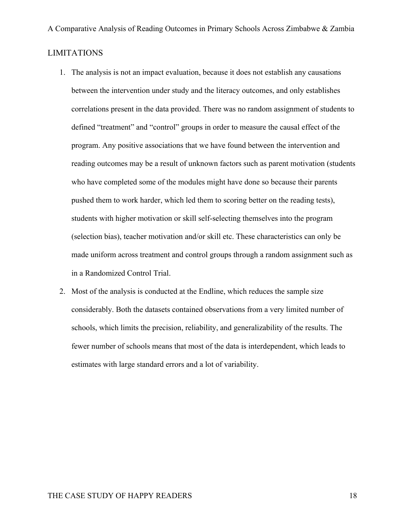- 1. The analysis is not an impact evaluation, because it does not establish any causations between the intervention under study and the literacy outcomes, and only establishes correlations present in the data provided. There was no random assignment of students to defined "treatment" and "control" groups in order to measure the causal effect of the program. Any positive associations that we have found between the intervention and reading outcomes may be a result of unknown factors such as parent motivation (students who have completed some of the modules might have done so because their parents pushed them to work harder, which led them to scoring better on the reading tests), students with higher motivation or skill self-selecting themselves into the program (selection bias), teacher motivation and/or skill etc. These characteristics can only be made uniform across treatment and control groups through a random assignment such as in a Randomized Control Trial.
- 2. Most of the analysis is conducted at the Endline, which reduces the sample size considerably. Both the datasets contained observations from a very limited number of schools, which limits the precision, reliability, and generalizability of the results. The fewer number of schools means that most of the data is interdependent, which leads to estimates with large standard errors and a lot of variability.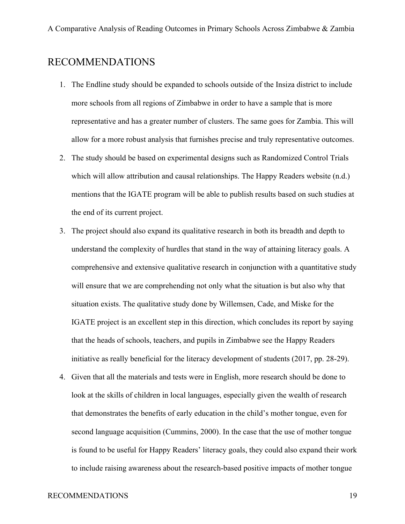## RECOMMENDATIONS

- 1. The Endline study should be expanded to schools outside of the Insiza district to include more schools from all regions of Zimbabwe in order to have a sample that is more representative and has a greater number of clusters. The same goes for Zambia. This will allow for a more robust analysis that furnishes precise and truly representative outcomes.
- 2. The study should be based on experimental designs such as Randomized Control Trials which will allow attribution and causal relationships. The Happy Readers website (n.d.) mentions that the IGATE program will be able to publish results based on such studies at the end of its current project.
- 3. The project should also expand its qualitative research in both its breadth and depth to understand the complexity of hurdles that stand in the way of attaining literacy goals. A comprehensive and extensive qualitative research in conjunction with a quantitative study will ensure that we are comprehending not only what the situation is but also why that situation exists. The qualitative study done by Willemsen, Cade, and Miske for the IGATE project is an excellent step in this direction, which concludes its report by saying that the heads of schools, teachers, and pupils in Zimbabwe see the Happy Readers initiative as really beneficial for the literacy development of students (2017, pp. 28-29).
- 4. Given that all the materials and tests were in English, more research should be done to look at the skills of children in local languages, especially given the wealth of research that demonstrates the benefits of early education in the child's mother tongue, even for second language acquisition (Cummins, 2000). In the case that the use of mother tongue is found to be useful for Happy Readers' literacy goals, they could also expand their work to include raising awareness about the research-based positive impacts of mother tongue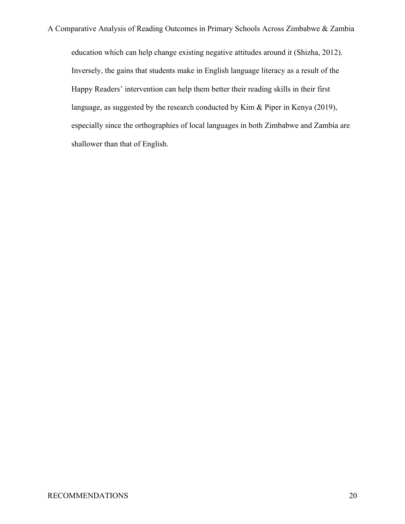education which can help change existing negative attitudes around it (Shizha, 2012). Inversely, the gains that students make in English language literacy as a result of the Happy Readers' intervention can help them better their reading skills in their first language, as suggested by the research conducted by Kim & Piper in Kenya (2019), especially since the orthographies of local languages in both Zimbabwe and Zambia are shallower than that of English.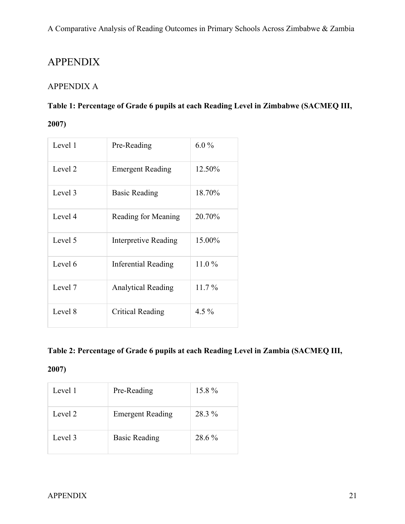# APPENDIX

## APPENDIX A

## **Table 1: Percentage of Grade 6 pupils at each Reading Level in Zimbabwe (SACMEQ III,**

## **2007)**

| Level 1 | Pre-Reading                | $6.0\%$  |
|---------|----------------------------|----------|
| Level 2 | <b>Emergent Reading</b>    | 12.50%   |
| Level 3 | <b>Basic Reading</b>       | 18.70%   |
| Level 4 | Reading for Meaning        | 20.70%   |
| Level 5 | Interpretive Reading       | 15.00%   |
| Level 6 | <b>Inferential Reading</b> | 11.0%    |
| Level 7 | <b>Analytical Reading</b>  | $11.7\%$ |
| Level 8 | Critical Reading           | 4.5 $%$  |

## **Table 2: Percentage of Grade 6 pupils at each Reading Level in Zambia (SACMEQ III,**

## **2007)**

| Level 1 | Pre-Reading             | 15.8%  |
|---------|-------------------------|--------|
| Level 2 | <b>Emergent Reading</b> | 28.3 % |
| Level 3 | <b>Basic Reading</b>    | 28.6 % |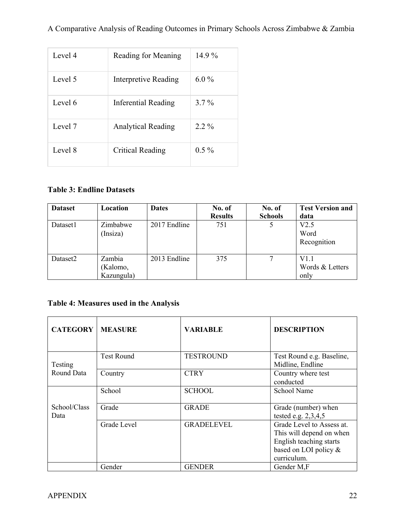| Level 4 | Reading for Meaning       | $14.9\%$ |
|---------|---------------------------|----------|
| Level 5 | Interpretive Reading      | $6.0\%$  |
| Level 6 | Inferential Reading       | $3.7\%$  |
| Level 7 | <b>Analytical Reading</b> | $2.2\%$  |
| Level 8 | Critical Reading          | $0.5\%$  |

## **Table 3: Endline Datasets**

| <b>Dataset</b> | Location                         | <b>Dates</b> | No. of<br><b>Results</b> | No. of<br><b>Schools</b> | <b>Test Version and</b><br>data |
|----------------|----------------------------------|--------------|--------------------------|--------------------------|---------------------------------|
| Dataset1       | Zimbabwe<br>(Insiza)             | 2017 Endline | 751                      |                          | V2.5<br>Word<br>Recognition     |
| Dataset2       | Zambia<br>(Kalomo,<br>Kazungula) | 2013 Endline | 375                      |                          | V1.1<br>Words & Letters<br>only |

## **Table 4: Measures used in the Analysis**

| <b>CATEGORY</b>      | <b>MEASURE</b>    | <b>VARIABLE</b>   | <b>DESCRIPTION</b>                                                                                                       |
|----------------------|-------------------|-------------------|--------------------------------------------------------------------------------------------------------------------------|
| Testing              | <b>Test Round</b> | <b>TESTROUND</b>  | Test Round e.g. Baseline,<br>Midline, Endline                                                                            |
| Round Data           | Country           | <b>CTRY</b>       | Country where test<br>conducted                                                                                          |
|                      | School            | <b>SCHOOL</b>     | School Name                                                                                                              |
| School/Class<br>Data | Grade             | <b>GRADE</b>      | Grade (number) when<br>tested e.g. $2,3,4,5$                                                                             |
|                      | Grade Level       | <b>GRADELEVEL</b> | Grade Level to Assess at.<br>This will depend on when<br>English teaching starts<br>based on LOI policy &<br>curriculum. |
|                      | Gender            | <b>GENDER</b>     | Gender M,F                                                                                                               |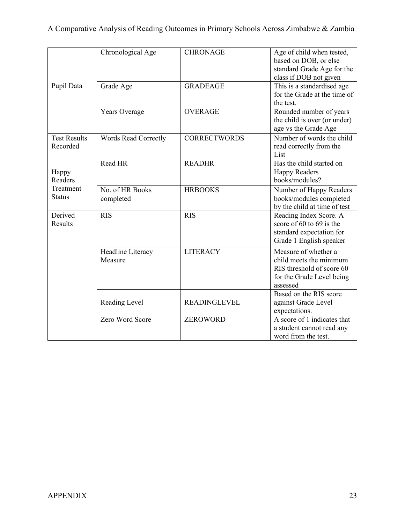| Pupil Data                      | Chronological Age            | <b>CHRONAGE</b>     | Age of child when tested,<br>based on DOB, or else<br>standard Grade Age for the<br>class if DOB not given            |
|---------------------------------|------------------------------|---------------------|-----------------------------------------------------------------------------------------------------------------------|
|                                 | Grade Age                    | <b>GRADEAGE</b>     | This is a standardised age<br>for the Grade at the time of<br>the test.                                               |
|                                 | Years Overage                | <b>OVERAGE</b>      | Rounded number of years<br>the child is over (or under)<br>age vs the Grade Age                                       |
| <b>Test Results</b><br>Recorded | <b>Words Read Correctly</b>  | <b>CORRECTWORDS</b> | Number of words the child<br>read correctly from the<br>List                                                          |
| Happy<br>Readers                | Read HR                      | <b>READHR</b>       | Has the child started on<br><b>Happy Readers</b><br>books/modules?                                                    |
| Treatment<br><b>Status</b>      | No. of HR Books<br>completed | <b>HRBOOKS</b>      | Number of Happy Readers<br>books/modules completed<br>by the child at time of test                                    |
| Derived<br>Results              | <b>RIS</b>                   | <b>RIS</b>          | Reading Index Score. A<br>score of 60 to 69 is the<br>standard expectation for<br>Grade 1 English speaker             |
|                                 | Headline Literacy<br>Measure | <b>LITERACY</b>     | Measure of whether a<br>child meets the minimum<br>RIS threshold of score 60<br>for the Grade Level being<br>assessed |
|                                 | Reading Level                | <b>READINGLEVEL</b> | Based on the RIS score<br>against Grade Level<br>expectations.                                                        |
|                                 | Zero Word Score              | <b>ZEROWORD</b>     | A score of 1 indicates that<br>a student cannot read any<br>word from the test.                                       |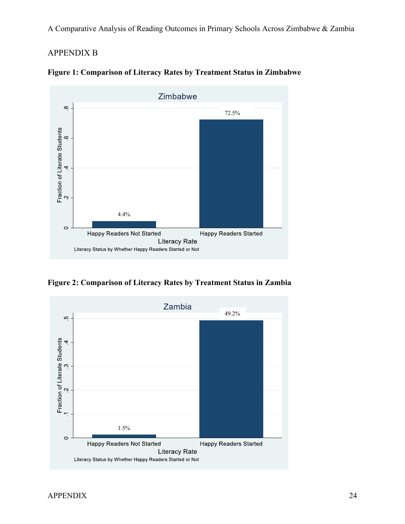## APPENDIX B





**Figure 2: Comparison of Literacy Rates by Treatment Status in Zambia**

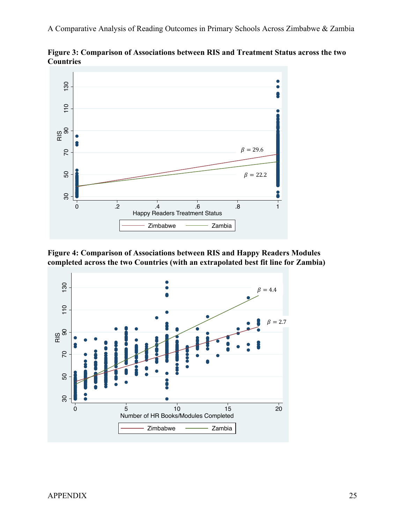

**Figure 3: Comparison of Associations between RIS and Treatment Status across the two Countries**

**Figure 4: Comparison of Associations between RIS and Happy Readers Modules** 

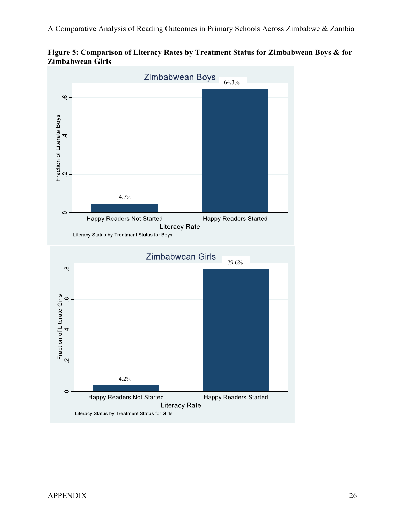**Figure 5: Comparison of Literacy Rates by Treatment Status for Zimbabwean Boys & for Zimbabwean Girls**

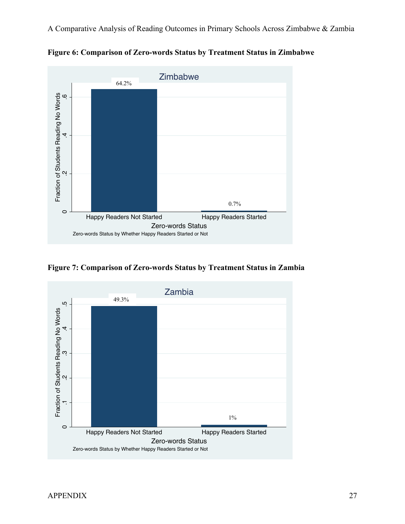

**Figure 6: Comparison of Zero-words Status by Treatment Status in Zimbabwe**

**Figure 7: Comparison of Zero-words Status by Treatment Status in Zambia**

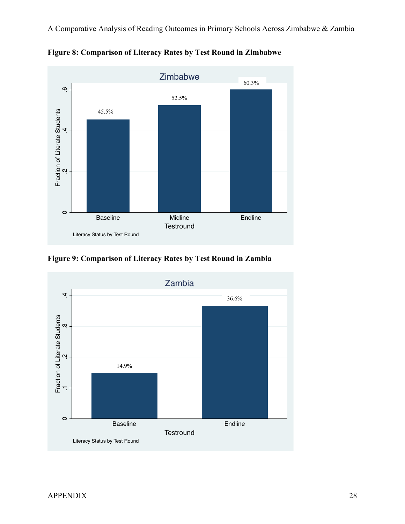

**Figure 8: Comparison of Literacy Rates by Test Round in Zimbabwe**

**Figure 9: Comparison of Literacy Rates by Test Round in Zambia**

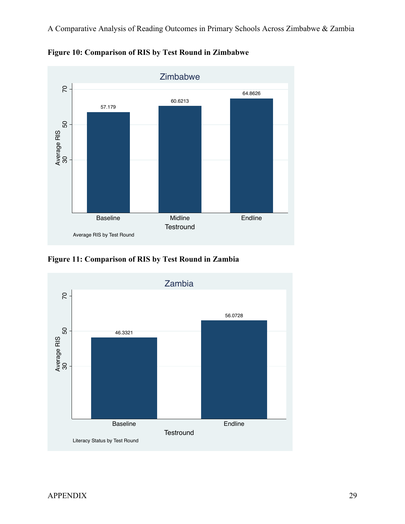

**Figure 10: Comparison of RIS by Test Round in Zimbabwe**

**Figure 11: Comparison of RIS by Test Round in Zambia**

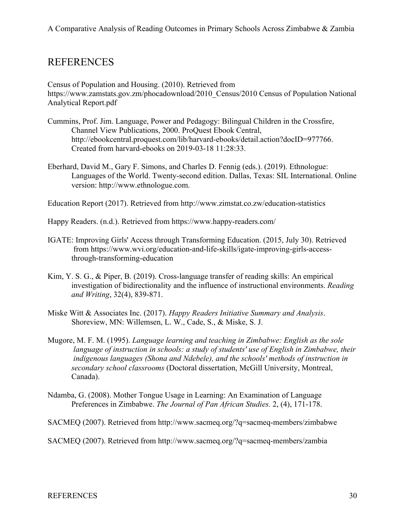## REFERENCES

Census of Population and Housing. (2010). Retrieved from https://www.zamstats.gov.zm/phocadownload/2010\_Census/2010 Census of Population National Analytical Report.pdf

- Cummins, Prof. Jim. Language, Power and Pedagogy: Bilingual Children in the Crossfire, Channel View Publications, 2000. ProQuest Ebook Central, http://ebookcentral.proquest.com/lib/harvard-ebooks/detail.action?docID=977766. Created from harvard-ebooks on 2019-03-18 11:28:33.
- Eberhard, David M., Gary F. Simons, and Charles D. Fennig (eds.). (2019). Ethnologue: Languages of the World. Twenty-second edition. Dallas, Texas: SIL International. Online version: http://www.ethnologue.com.

Education Report (2017). Retrieved from http://www.zimstat.co.zw/education-statistics

Happy Readers. (n.d.). Retrieved from https://www.happy-readers.com/

- IGATE: Improving Girls' Access through Transforming Education. (2015, July 30). Retrieved from https://www.wvi.org/education-and-life-skills/igate-improving-girls-accessthrough-transforming-education
- Kim, Y. S. G., & Piper, B. (2019). Cross-language transfer of reading skills: An empirical investigation of bidirectionality and the influence of instructional environments. *Reading and Writing*, 32(4), 839-871.
- Miske Witt & Associates Inc. (2017). *Happy Readers Initiative Summary and Analysis*. Shoreview, MN: Willemsen, L. W., Cade, S., & Miske, S. J.
- Mugore, M. F. M. (1995). *Language learning and teaching in Zimbabwe: English as the sole language of instruction in schools: a study of students' use of English in Zimbabwe, their indigenous languages (Shona and Ndebele), and the schools' methods of instruction in secondary school classrooms* (Doctoral dissertation, McGill University, Montreal, Canada).
- Ndamba, G. (2008). Mother Tongue Usage in Learning: An Examination of Language Preferences in Zimbabwe. *The Journal of Pan African Studies.* 2, (4), 171-178.

SACMEQ (2007). Retrieved from http://www.sacmeq.org/?q=sacmeq-members/zimbabwe

SACMEQ (2007). Retrieved from http://www.sacmeq.org/?q=sacmeq-members/zambia